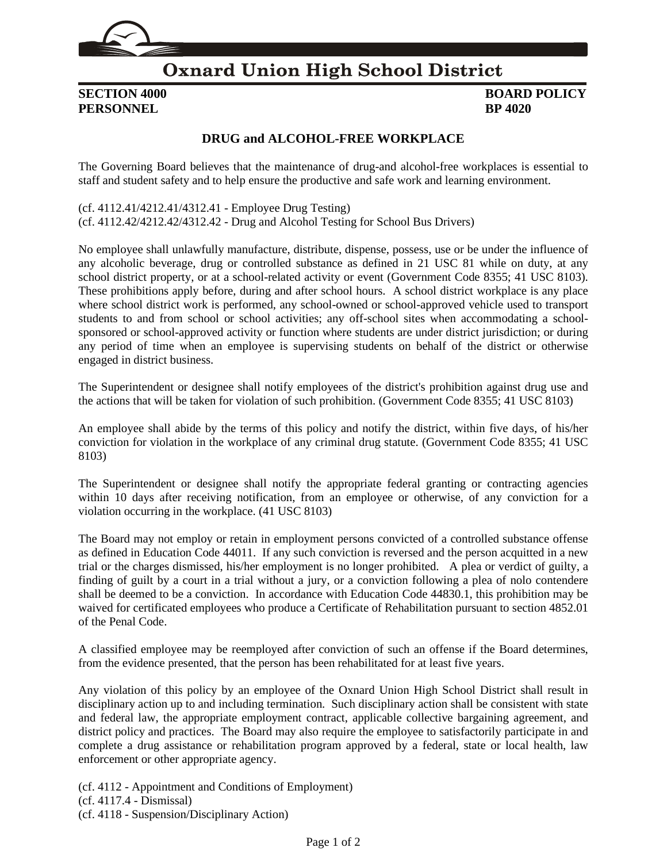

### **Oxnard Union High School District**

# **PERSONNEL BP 4020**

## **SECTION 4000 BOARD POLICY**

### **DRUG and ALCOHOL-FREE WORKPLACE**

The Governing Board believes that the maintenance of drug-and alcohol-free workplaces is essential to staff and student safety and to help ensure the productive and safe work and learning environment.

(cf[. 4112.41](http://gamutonline.net/displayPolicy/171559/4)[/4212.41/](http://gamutonline.net/displayPolicy/171262/4)[4312.41](http://gamutonline.net/displayPolicy/171263/4) - Employee Drug Testing) (cf[. 4112.42](http://gamutonline.net/displayPolicy/171114/4)[/4212.42/](http://gamutonline.net/displayPolicy/171357/4)[4312.42](http://gamutonline.net/displayPolicy/171358/4) - Drug and Alcohol Testing for School Bus Drivers)

No employee shall unlawfully manufacture, distribute, dispense, possess, use or be under the influence of any alcoholic beverage, drug or controlled substance as defined in 21 USC 81 while on duty, at any school district property, or at a school-related activity or event (Government Code [8355;](http://gamutonline.net/displayPolicy/144532/4) 41 USC 8103). These prohibitions apply before, during and after school hours. A school district workplace is any place where school district work is performed, any school-owned or school-approved vehicle used to transport students to and from school or school activities; any off-school sites when accommodating a schoolsponsored or school-approved activity or function where students are under district jurisdiction; or during any period of time when an employee is supervising students on behalf of the district or otherwise engaged in district business.

The Superintendent or designee shall notify employees of the district's prohibition against drug use and the actions that will be taken for violation of such prohibition. (Government Code [8355;](http://gamutonline.net/displayPolicy/144532/4) 41 USC 8103)

An employee shall abide by the terms of this policy and notify the district, within five days, of his/her conviction for violation in the workplace of any criminal drug statute. (Government Code [8355;](http://gamutonline.net/displayPolicy/144532/4) 41 USC 8103)

The Superintendent or designee shall notify the appropriate federal granting or contracting agencies within 10 days after receiving notification, from an employee or otherwise, of any conviction for a violation occurring in the workplace. (41 USC 8103)

The Board may not employ or retain in employment persons convicted of a controlled substance offense as defined in Education Code 44011. If any such conviction is reversed and the person acquitted in a new trial or the charges dismissed, his/her employment is no longer prohibited. A plea or verdict of guilty, a finding of guilt by a court in a trial without a jury, or a conviction following a plea of nolo contendere shall be deemed to be a conviction. In accordance with Education Code 44830.1, this prohibition may be waived for certificated employees who produce a Certificate of Rehabilitation pursuant to section 4852.01 of the Penal Code.

A classified employee may be reemployed after conviction of such an offense if the Board determines, from the evidence presented, that the person has been rehabilitated for at least five years.

Any violation of this policy by an employee of the Oxnard Union High School District shall result in disciplinary action up to and including termination. Such disciplinary action shall be consistent with state and federal law, the appropriate employment contract, applicable collective bargaining agreement, and district policy and practices. The Board may also require the employee to satisfactorily participate in and complete a drug assistance or rehabilitation program approved by a federal, state or local health, law enforcement or other appropriate agency.

(cf[. 4112](http://gamutonline.net/displayPolicy/259625/4) - Appointment and Conditions of Employment) (cf[. 4117.4](http://gamutonline.net/displayPolicy/171223/4) - Dismissal) (cf[. 4118](http://gamutonline.net/displayPolicy/222829/4) - Suspension/Disciplinary Action)